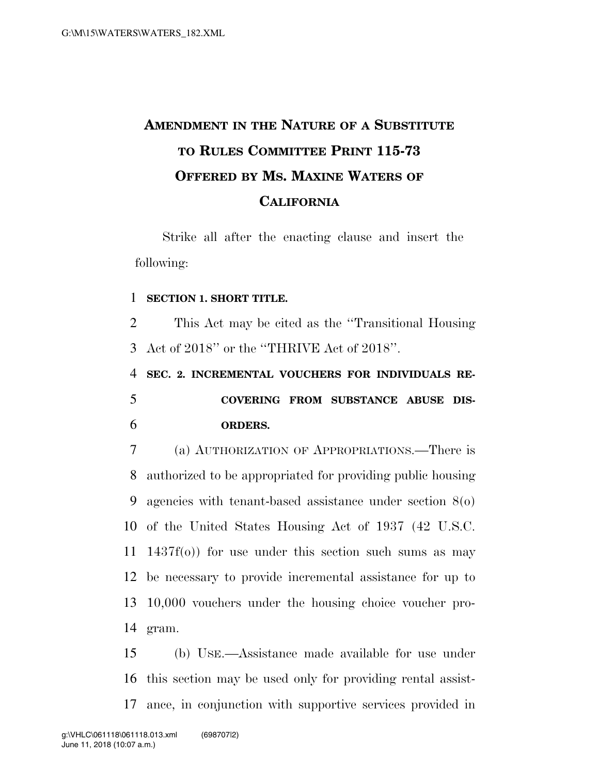## **AMENDMENT IN THE NATURE OF A SUBSTITUTE TO RULES COMMITTEE PRINT 115-73 OFFERED BY MS. MAXINE WATERS OF CALIFORNIA**

Strike all after the enacting clause and insert the following:

## **SECTION 1. SHORT TITLE.**

 This Act may be cited as the ''Transitional Housing Act of 2018'' or the ''THRIVE Act of 2018''.

 **SEC. 2. INCREMENTAL VOUCHERS FOR INDIVIDUALS RE- COVERING FROM SUBSTANCE ABUSE DIS-ORDERS.** 

 (a) AUTHORIZATION OF APPROPRIATIONS.—There is authorized to be appropriated for providing public housing agencies with tenant-based assistance under section 8(o) of the United States Housing Act of 1937 (42 U.S.C. 1437f(o)) for use under this section such sums as may be necessary to provide incremental assistance for up to 10,000 vouchers under the housing choice voucher pro-gram.

 (b) USE.—Assistance made available for use under this section may be used only for providing rental assist-ance, in conjunction with supportive services provided in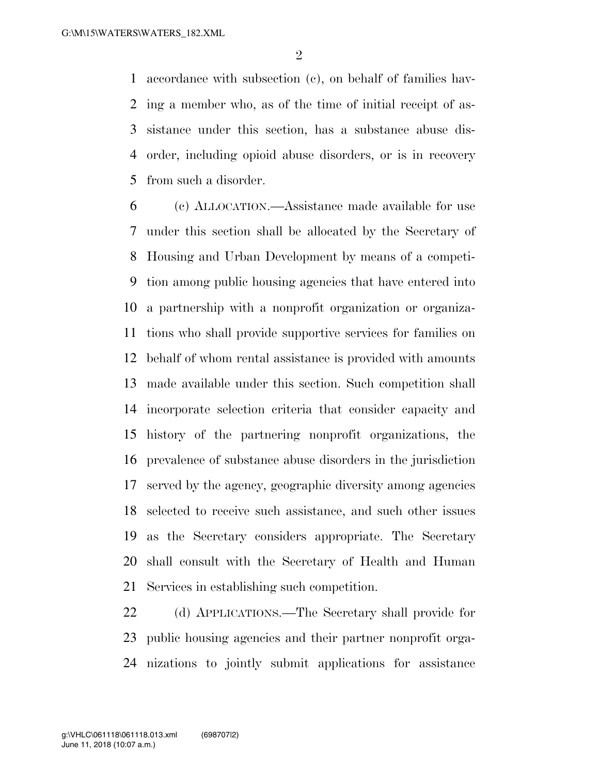accordance with subsection (c), on behalf of families hav- ing a member who, as of the time of initial receipt of as- sistance under this section, has a substance abuse dis- order, including opioid abuse disorders, or is in recovery from such a disorder.

 (c) ALLOCATION.—Assistance made available for use under this section shall be allocated by the Secretary of Housing and Urban Development by means of a competi- tion among public housing agencies that have entered into a partnership with a nonprofit organization or organiza- tions who shall provide supportive services for families on behalf of whom rental assistance is provided with amounts made available under this section. Such competition shall incorporate selection criteria that consider capacity and history of the partnering nonprofit organizations, the prevalence of substance abuse disorders in the jurisdiction served by the agency, geographic diversity among agencies selected to receive such assistance, and such other issues as the Secretary considers appropriate. The Secretary shall consult with the Secretary of Health and Human Services in establishing such competition.

 (d) APPLICATIONS.—The Secretary shall provide for public housing agencies and their partner nonprofit orga-nizations to jointly submit applications for assistance